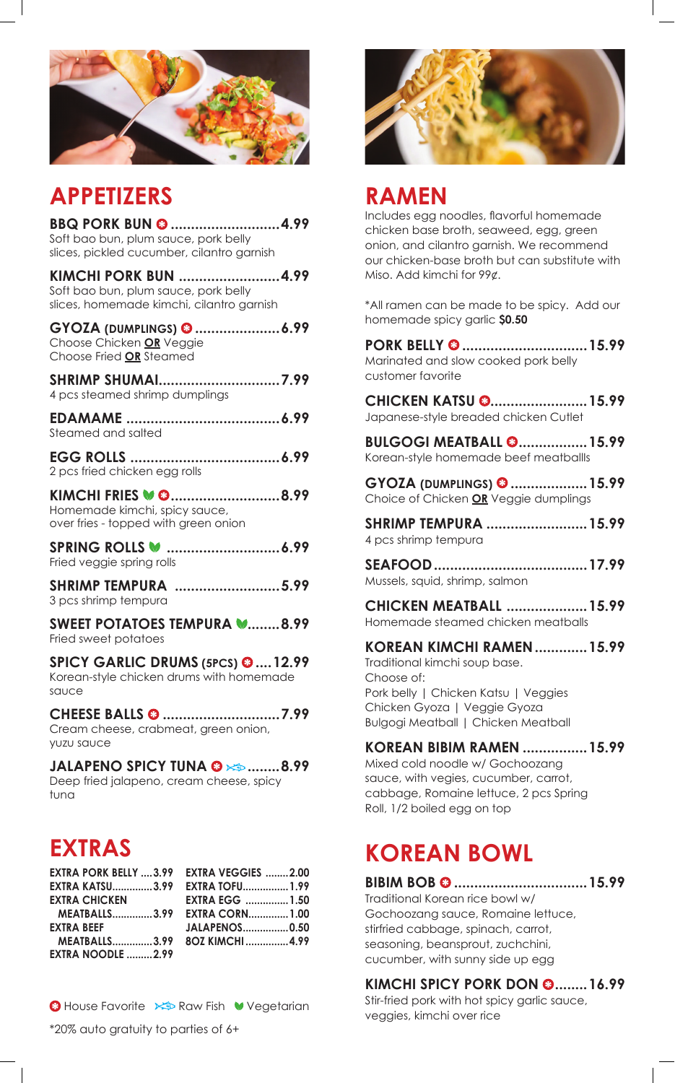

## **APPETIZERS**

**BBQ PORK BUN @ ...........................4.99** Soft bao bun, plum sauce, pork belly slices, pickled cucumber, cilantro garnish **KIMCHI PORK BUN .........................4.99** Soft bao bun, plum sauce, pork belly

**GYOZA (DUMPLINGS) .....................6.99** Choose Chicken **OR** Veggie Choose Fried **OR** Steamed

slices, homemade kimchi, cilantro garnish

| SHRIMP SHUMAI7.99              |              |
|--------------------------------|--------------|
| 4 pcs steamed shrimp dumplings |              |
| ERAMAAME                       | $\lambda$ 00 |

| Steamed and salted |  |  |
|--------------------|--|--|

**EGG ROLLS .....................................6.99** 2 pcs fried chicken egg rolls

KIMCHI FRIES **W @............................8.99** Homemade kimchi, spicy sauce, over fries - topped with green onion

**SPRING ROLLS ............................6.99** Fried veggie spring rolls

**SHRIMP TEMPURA ..........................5.99** 3 pcs shrimp tempura

**SWEET POTATOES TEMPURA W........8.99** Fried sweet potatoes

**SPICY GARLIC DRUMS (5PCS) ....12.99** Korean-style chicken drums with homemade sauce

**CHEESE BALLS .............................7.99** Cream cheese, crabmeat, green onion, yuzu sauce

**JALAPENO SPICY TUNA ........8.99** Deep fried jalapeno, cream cheese, spicy tuna

| EXTRA PORK BELLY  3.99 EXTRA VEGGIES  2.00 |                       |  |
|--------------------------------------------|-----------------------|--|
| EXTRA KATSU3.99     EXTRA TOFU 1.99        |                       |  |
| <b>EXTRA CHICKEN</b>                       | <b>EXTRA EGG 1.50</b> |  |
| MEATBALLS3.99 EXTRA CORN1.00               |                       |  |
| <b>EXTRA BEEF</b>                          | <b>JALAPENOS0.50</b>  |  |
| MEATBALLS3.99 80Z KIMCHI4.99               |                       |  |
| <b>EXTRA NOODLE 2.99</b>                   |                       |  |

**<sup>8</sup> House Favorite E** Raw Fish Vegetarian

\*20% auto gratuity to parties of 6+



### **RAMEN**

Includes egg noodles, flavorful homemade chicken base broth, seaweed, egg, green onion, and cilantro garnish. We recommend our chicken-base broth but can substitute with Miso. Add kimchi for 99¢.

\*All ramen can be made to be spicy. Add our homemade spicy garlic **\$0.50**

**PORK BELLY ...............................15.99** Marinated and slow cooked pork belly customer favorite

**CHICKEN KATSU 3........................ 15.99** Japanese-style breaded chicken Cutlet

**BULGOGI MEATBALL @................. 15.99** Korean-style homemade beef meatballIs

**GYOZA (DUMPLINGS) ...................15.99** Choice of Chicken **OR** Veggie dumplings

**SHRIMP TEMPURA .........................15.99** 4 pcs shrimp tempura

**SEAFOOD......................................17.99** Mussels, squid, shrimp, salmon

**CHICKEN MEATBALL ....................15.99** Homemade steamed chicken meatballs

**KOREAN KIMCHI RAMEN.............15.99**

Traditional kimchi soup base. Choose of: Pork belly | Chicken Katsu | Veggies Chicken Gyoza | Veggie Gyoza Bulgogi Meatball | Chicken Meatball

#### **KOREAN BIBIM RAMEN ................15.99**

Mixed cold noodle w/ Gochoozang sauce, with vegies, cucumber, carrot, cabbage, Romaine lettuce, 2 pcs Spring Roll, 1/2 boiled egg on top

# **EXTRAS KOREAN BOWL**

**BIBIM BOB .................................15.99**

Traditional Korean rice bowl w/ Gochoozang sauce, Romaine lettuce, stirfried cabbage, spinach, carrot, seasoning, beansprout, zuchchini, cucumber, with sunny side up egg

### **KIMCHI SPICY PORK DON @........16.99**

Stir-fried pork with hot spicy garlic sauce, veggies, kimchi over rice